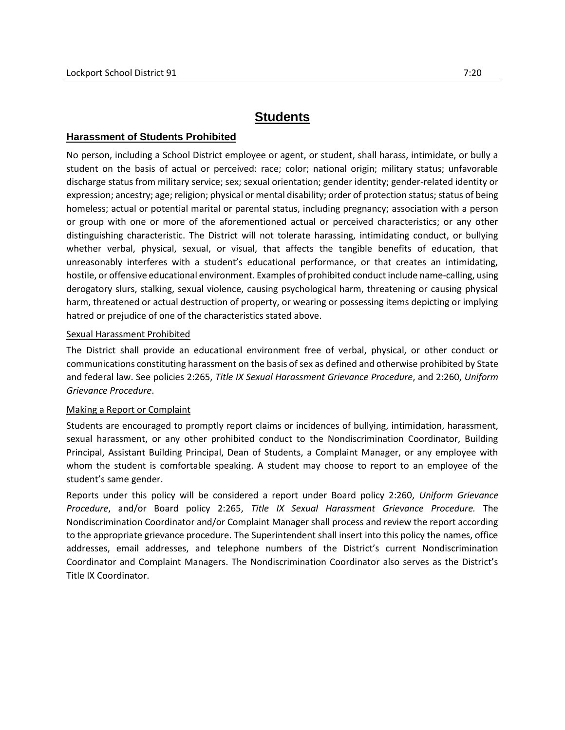# **Students**

### **Harassment of Students Prohibited**

No person, including a School District employee or agent, or student, shall harass, intimidate, or bully a student on the basis of actual or perceived: race; color; national origin; military status; unfavorable discharge status from military service; sex; sexual orientation; gender identity; gender-related identity or expression; ancestry; age; religion; physical or mental disability; order of protection status; status of being homeless; actual or potential marital or parental status, including pregnancy; association with a person or group with one or more of the aforementioned actual or perceived characteristics; or any other distinguishing characteristic. The District will not tolerate harassing, intimidating conduct, or bullying whether verbal, physical, sexual, or visual, that affects the tangible benefits of education, that unreasonably interferes with a student's educational performance, or that creates an intimidating, hostile, or offensive educational environment. Examples of prohibited conduct include name-calling, using derogatory slurs, stalking, sexual violence, causing psychological harm, threatening or causing physical harm, threatened or actual destruction of property, or wearing or possessing items depicting or implying hatred or prejudice of one of the characteristics stated above.

#### Sexual Harassment Prohibited

The District shall provide an educational environment free of verbal, physical, or other conduct or communications constituting harassment on the basis of sex as defined and otherwise prohibited by State and federal law. See policies 2:265, *Title IX Sexual Harassment Grievance Procedure*, and 2:260, *Uniform Grievance Procedure*.

#### Making a Report or Complaint

Students are encouraged to promptly report claims or incidences of bullying, intimidation, harassment, sexual harassment, or any other prohibited conduct to the Nondiscrimination Coordinator, Building Principal, Assistant Building Principal, Dean of Students, a Complaint Manager, or any employee with whom the student is comfortable speaking. A student may choose to report to an employee of the student's same gender.

Reports under this policy will be considered a report under Board policy 2:260, *Uniform Grievance Procedure*, and/or Board policy 2:265, *Title IX Sexual Harassment Grievance Procedure.* The Nondiscrimination Coordinator and/or Complaint Manager shall process and review the report according to the appropriate grievance procedure. The Superintendent shall insert into this policy the names, office addresses, email addresses, and telephone numbers of the District's current Nondiscrimination Coordinator and Complaint Managers. The Nondiscrimination Coordinator also serves as the District's Title IX Coordinator.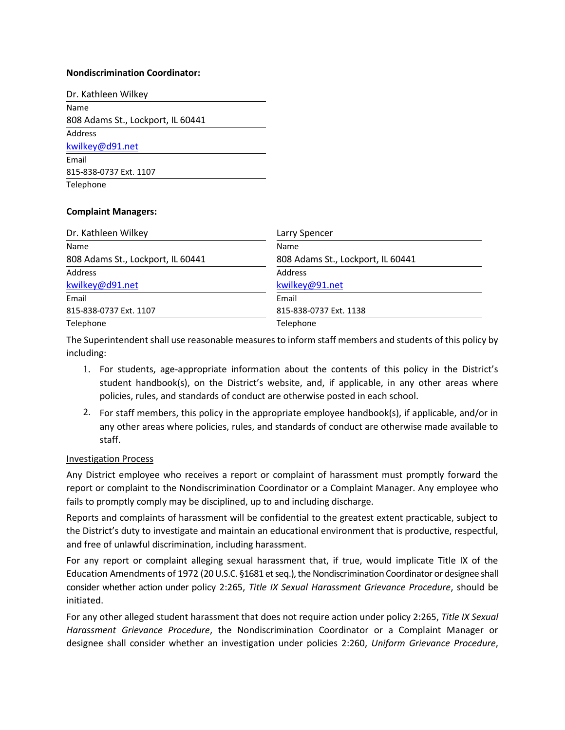#### **Nondiscrimination Coordinator:**

| Dr. Kathleen Wilkey               |
|-----------------------------------|
| Name                              |
| 808 Adams St., Lockport, IL 60441 |
| Address                           |
| kwilkey@d91.net                   |
| Email                             |
| 815-838-0737 Ext. 1107            |
| Telephone                         |

#### **Complaint Managers:**

| Dr. Kathleen Wilkey               | Larry Spencer                     |  |
|-----------------------------------|-----------------------------------|--|
| Name                              | Name                              |  |
| 808 Adams St., Lockport, IL 60441 | 808 Adams St., Lockport, IL 60441 |  |
| Address                           | Address                           |  |
| kwilkey@d91.net                   | kwilkey@91.net                    |  |
| Email                             | Email                             |  |
| 815-838-0737 Ext. 1107            | 815-838-0737 Ext. 1138            |  |
| Telephone                         | Telephone                         |  |

The Superintendent shall use reasonable measures to inform staff members and students of this policy by including:

- 1. For students, age-appropriate information about the contents of this policy in the District's student handbook(s), on the District's website, and, if applicable, in any other areas where policies, rules, and standards of conduct are otherwise posted in each school.
- 2. For staff members, this policy in the appropriate employee handbook(s), if applicable, and/or in any other areas where policies, rules, and standards of conduct are otherwise made available to staff.

#### Investigation Process

Any District employee who receives a report or complaint of harassment must promptly forward the report or complaint to the Nondiscrimination Coordinator or a Complaint Manager. Any employee who fails to promptly comply may be disciplined, up to and including discharge.

Reports and complaints of harassment will be confidential to the greatest extent practicable, subject to the District's duty to investigate and maintain an educational environment that is productive, respectful, and free of unlawful discrimination, including harassment.

For any report or complaint alleging sexual harassment that, if true, would implicate Title IX of the Education Amendments of 1972 (20 U.S.C. §1681 et seq.), the Nondiscrimination Coordinator or designee shall consider whether action under policy 2:265, *Title IX Sexual Harassment Grievance Procedure*, should be initiated.

For any other alleged student harassment that does not require action under policy 2:265, *Title IX Sexual Harassment Grievance Procedure*, the Nondiscrimination Coordinator or a Complaint Manager or designee shall consider whether an investigation under policies 2:260, *Uniform Grievance Procedure*,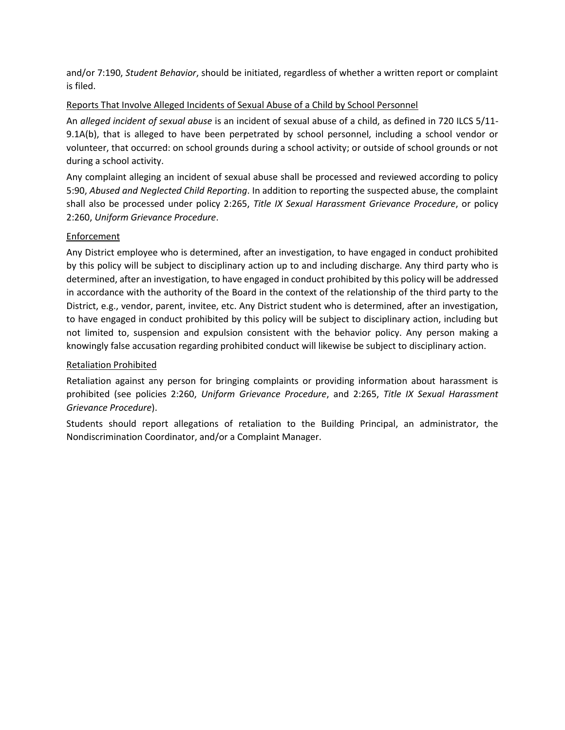and/or 7:190, *Student Behavior*, should be initiated, regardless of whether a written report or complaint is filed.

# Reports That Involve Alleged Incidents of Sexual Abuse of a Child by School Personnel

An *alleged incident of sexual abuse* is an incident of sexual abuse of a child, as defined in 720 ILCS 5/11- 9.1A(b), that is alleged to have been perpetrated by school personnel, including a school vendor or volunteer, that occurred: on school grounds during a school activity; or outside of school grounds or not during a school activity.

Any complaint alleging an incident of sexual abuse shall be processed and reviewed according to policy 5:90, *Abused and Neglected Child Reporting*. In addition to reporting the suspected abuse, the complaint shall also be processed under policy 2:265, *Title IX Sexual Harassment Grievance Procedure*, or policy 2:260, *Uniform Grievance Procedure*.

# **Enforcement**

Any District employee who is determined, after an investigation, to have engaged in conduct prohibited by this policy will be subject to disciplinary action up to and including discharge. Any third party who is determined, after an investigation, to have engaged in conduct prohibited by this policy will be addressed in accordance with the authority of the Board in the context of the relationship of the third party to the District, e.g., vendor, parent, invitee, etc. Any District student who is determined, after an investigation, to have engaged in conduct prohibited by this policy will be subject to disciplinary action, including but not limited to, suspension and expulsion consistent with the behavior policy. Any person making a knowingly false accusation regarding prohibited conduct will likewise be subject to disciplinary action.

### Retaliation Prohibited

Retaliation against any person for bringing complaints or providing information about harassment is prohibited (see policies 2:260, *Uniform Grievance Procedure*, and 2:265, *Title IX Sexual Harassment Grievance Procedure*).

Students should report allegations of retaliation to the Building Principal, an administrator, the Nondiscrimination Coordinator, and/or a Complaint Manager.